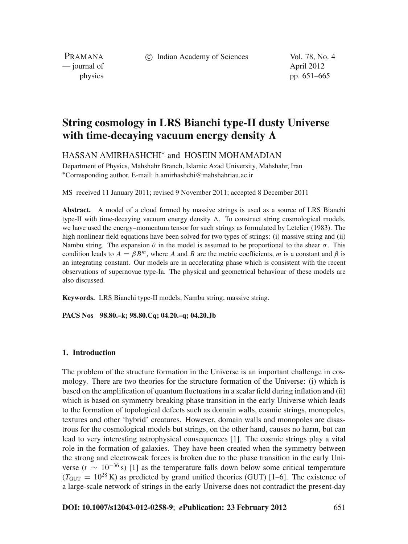c Indian Academy of Sciences Vol. 78, No. 4

PRAMANA — journal of April 2012

physics pp. 651–665

# **String cosmology in LRS Bianchi type-II dusty Universe** with time-decaying vacuum energy density  $\Lambda$

HASSAN AMIRHASHCHI<sup>∗</sup> and HOSEIN MOHAMADIAN

Department of Physics, Mahshahr Branch, Islamic Azad University, Mahshahr, Iran <sup>∗</sup>Corresponding author. E-mail: h.amirhashchi@mahshahriau.ac.ir

MS received 11 January 2011; revised 9 November 2011; accepted 8 December 2011

**Abstract.** A model of a cloud formed by massive strings is used as a source of LRS Bianchi type-II with time-decaying vacuum energy density  $\Lambda$ . To construct string cosmological models, we have used the energy–momentum tensor for such strings as formulated by Letelier (1983). The high nonlinear field equations have been solved for two types of strings: (i) massive string and (ii) Nambu string. The expansion  $\theta$  in the model is assumed to be proportional to the shear  $\sigma$ . This condition leads to  $A = \beta B^m$ , where *A* and *B* are the metric coefficients, *m* is a constant and  $\beta$  is an integrating constant. Our models are in accelerating phase which is consistent with the recent observations of supernovae type-Ia. The physical and geometrical behaviour of these models are also discussed.

**Keywords.** LRS Bianchi type-II models; Nambu string; massive string.

**PACS Nos 98.80.–k; 98.80.Cq; 04.20.–q; 04.20.Jb**

# **1. Introduction**

The problem of the structure formation in the Universe is an important challenge in cosmology. There are two theories for the structure formation of the Universe: (i) which is based on the amplification of quantum fluctuations in a scalar field during inflation and (ii) which is based on symmetry breaking phase transition in the early Universe which leads to the formation of topological defects such as domain walls, cosmic strings, monopoles, textures and other 'hybrid' creatures. However, domain walls and monopoles are disastrous for the cosmological models but strings, on the other hand, causes no harm, but can lead to very interesting astrophysical consequences [1]. The cosmic strings play a vital role in the formation of galaxies. They have been created when the symmetry between the strong and electroweak forces is broken due to the phase transition in the early Universe ( $t \sim 10^{-36}$  s) [1] as the temperature falls down below some critical temperature  $(T<sub>GUT</sub> = 10<sup>28</sup>$  K) as predicted by grand unified theories (GUT) [1–6]. The existence of a large-scale network of strings in the early Universe does not contradict the present-day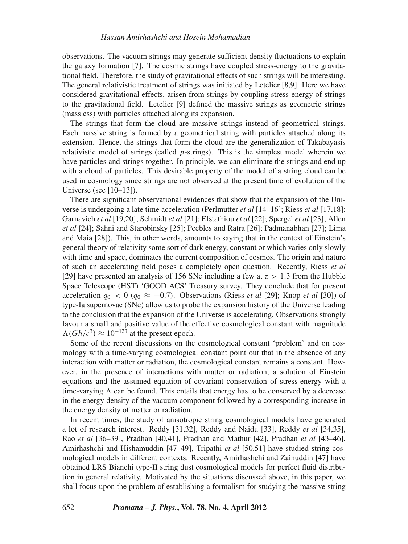observations. The vacuum strings may generate sufficient density fluctuations to explain the galaxy formation [7]. The cosmic strings have coupled stress-energy to the gravitational field. Therefore, the study of gravitational effects of such strings will be interesting. The general relativistic treatment of strings was initiated by Letelier [8,9]. Here we have considered gravitational effects, arisen from strings by coupling stress-energy of strings to the gravitational field. Letelier [9] defined the massive strings as geometric strings (massless) with particles attached along its expansion.

The strings that form the cloud are massive strings instead of geometrical strings. Each massive string is formed by a geometrical string with particles attached along its extension. Hence, the strings that form the cloud are the generalization of Takabayasis relativistic model of strings (called *p*-strings). This is the simplest model wherein we have particles and strings together. In principle, we can eliminate the strings and end up with a cloud of particles. This desirable property of the model of a string cloud can be used in cosmology since strings are not observed at the present time of evolution of the Universe (see [10–13]).

There are significant observational evidences that show that the expansion of the Universe is undergoing a late time acceleration (Perlmutter *et al* [14–16]; Riess *et al* [17,18]; Garnavich *et al* [19,20]; Schmidt *et al* [21]; Efstathiou *et al* [22]; Spergel *et al* [23]; Allen *et al* [24]; Sahni and Starobinsky [25]; Peebles and Ratra [26]; Padmanabhan [27]; Lima and Maia [28]). This, in other words, amounts to saying that in the context of Einstein's general theory of relativity some sort of dark energy, constant or which varies only slowly with time and space, dominates the current composition of cosmos. The origin and nature of such an accelerating field poses a completely open question. Recently, Riess *et al* [29] have presented an analysis of 156 SNe including a few at  $z > 1.3$  from the Hubble Space Telescope (HST) 'GOOD ACS' Treasury survey. They conclude that for present acceleration  $q_0 < 0$  ( $q_0 \approx -0.7$ ). Observations (Riess *et al* [29]; Knop *et al* [30]) of type-Ia supernovae (SNe) allow us to probe the expansion history of the Universe leading to the conclusion that the expansion of the Universe is accelerating. Observations strongly favour a small and positive value of the effective cosmological constant with magnitude  $\Lambda$ (*Għ*/ $c$ <sup>3</sup>) ≈ 10<sup>-123</sup> at the present epoch.

Some of the recent discussions on the cosmological constant 'problem' and on cosmology with a time-varying cosmological constant point out that in the absence of any interaction with matter or radiation, the cosmological constant remains a constant. However, in the presence of interactions with matter or radiation, a solution of Einstein equations and the assumed equation of covariant conservation of stress-energy with a time-varying  $\Lambda$  can be found. This entails that energy has to be conserved by a decrease in the energy density of the vacuum component followed by a corresponding increase in the energy density of matter or radiation.

In recent times, the study of anisotropic string cosmological models have generated a lot of research interest. Reddy [31,32], Reddy and Naidu [33], Reddy *et al* [34,35], Rao *et al* [36–39], Pradhan [40,41], Pradhan and Mathur [42], Pradhan *et al* [43–46], Amirhashchi and Hishamuddin [47–49], Tripathi *et al* [50,51] have studied string cosmological models in different contexts. Recently, Amirhashchi and Zainuddin [47] have obtained LRS Bianchi type-II string dust cosmological models for perfect fluid distribution in general relativity. Motivated by the situations discussed above, in this paper, we shall focus upon the problem of establishing a formalism for studying the massive string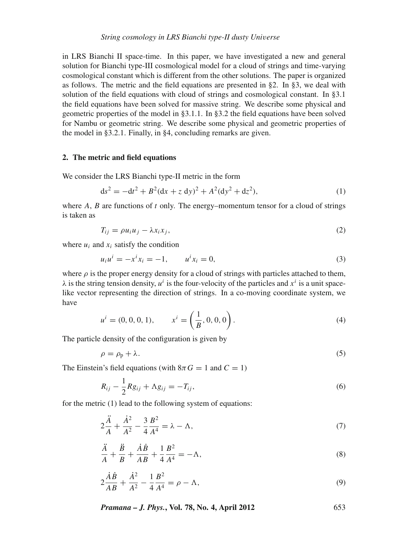in LRS Bianchi II space-time. In this paper, we have investigated a new and general solution for Bianchi type-III cosmological model for a cloud of strings and time-varying cosmological constant which is different from the other solutions. The paper is organized as follows. The metric and the field equations are presented in §2. In §3, we deal with solution of the field equations with cloud of strings and cosmological constant. In §3.1 the field equations have been solved for massive string. We describe some physical and geometric properties of the model in §3.1.1. In §3.2 the field equations have been solved for Nambu or geometric string. We describe some physical and geometric properties of the model in §3.2.1. Finally, in §4, concluding remarks are given.

#### **2. The metric and field equations**

We consider the LRS Bianchi type-II metric in the form

$$
ds^{2} = -dt^{2} + B^{2}(dx + z dy)^{2} + A^{2}(dy^{2} + dz^{2}),
$$
\n(1)

where *A*, *B* are functions of *t* only. The energy–momentum tensor for a cloud of strings is taken as

$$
T_{ij} = \rho u_i u_j - \lambda x_i x_j, \tag{2}
$$

where  $u_i$  and  $x_i$  satisfy the condition

$$
u_i u^i = -x^i x_i = -1, \qquad u^i x_i = 0,
$$
\n(3)

where  $\rho$  is the proper energy density for a cloud of strings with particles attached to them,  $\lambda$  is the string tension density,  $u^i$  is the four-velocity of the particles and  $x^i$  is a unit spacelike vector representing the direction of strings. In a co-moving coordinate system, we have

$$
u^{i} = (0, 0, 0, 1), \qquad x^{i} = \left(\frac{1}{B}, 0, 0, 0\right).
$$
 (4)

The particle density of the configuration is given by

$$
\rho = \rho_p + \lambda. \tag{5}
$$

The Einstein's field equations (with  $8\pi G = 1$  and  $C = 1$ )

$$
R_{ij} - \frac{1}{2} R g_{ij} + \Lambda g_{ij} = -T_{ij},
$$
\n(6)

for the metric (1) lead to the following system of equations:

$$
2\frac{\ddot{A}}{A} + \frac{\dot{A}^2}{A^2} - \frac{3}{4}\frac{B^2}{A^4} = \lambda - \Lambda,\tag{7}
$$

$$
\frac{\ddot{A}}{A} + \frac{\ddot{B}}{B} + \frac{\dot{A}\dot{B}}{AB} + \frac{1}{4}\frac{B^2}{A^4} = -\Lambda,
$$
\n(8)

$$
2\frac{\dot{A}\dot{B}}{AB} + \frac{\dot{A}^2}{A^2} - \frac{1}{4}\frac{B^2}{A^4} = \rho - \Lambda,\tag{9}
$$

*Pramana – J. Phys.***, Vol. 78, No. 4, April 2012** 653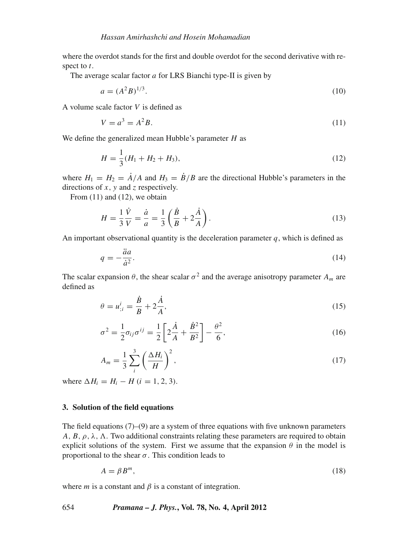where the overdot stands for the first and double overdot for the second derivative with respect to *t*.

The average scalar factor *a* for LRS Bianchi type-II is given by

$$
a = (A^2 B)^{1/3}.
$$
 (10)

A volume scale factor *V* is defined as

$$
V = a^3 = A^2 B. \tag{11}
$$

We define the generalized mean Hubble's parameter *H* as

$$
H = \frac{1}{3}(H_1 + H_2 + H_3),\tag{12}
$$

where  $H_1 = H_2 = \dot{A}/A$  and  $H_3 = \dot{B}/B$  are the directional Hubble's parameters in the directions of *x*, *y* and *z* respectively.

From  $(11)$  and  $(12)$ , we obtain

$$
H = \frac{1}{3} \frac{\dot{V}}{V} = \frac{\dot{a}}{a} = \frac{1}{3} \left( \frac{\dot{B}}{B} + 2 \frac{\dot{A}}{A} \right).
$$
 (13)

An important observational quantity is the deceleration parameter  $q$ , which is defined as

$$
q = -\frac{\ddot{a}a}{\dot{a}^2}.\tag{14}
$$

The scalar expansion  $\theta$ , the shear scalar  $\sigma^2$  and the average anisotropy parameter  $A_m$  are defined as

$$
\theta = u_{;i}^i = \frac{\dot{B}}{B} + 2\frac{\dot{A}}{A},\tag{15}
$$

$$
\sigma^2 = \frac{1}{2}\sigma_{ij}\sigma^{ij} = \frac{1}{2}\left[2\frac{\dot{A}}{A} + \frac{\dot{B}^2}{B^2}\right] - \frac{\theta^2}{6},\tag{16}
$$

$$
A_m = \frac{1}{3} \sum_{i}^{3} \left(\frac{\Delta H_i}{H}\right)^2,\tag{17}
$$

where  $\Delta H_i = H_i - H$  (*i* = 1, 2, 3).

### **3. Solution of the field equations**

The field equations  $(7)$ – $(9)$  are a system of three equations with five unknown parameters *A*, *B*,  $\rho$ ,  $\lambda$ ,  $\Lambda$ . Two additional constraints relating these parameters are required to obtain explicit solutions of the system. First we assume that the expansion  $\theta$  in the model is proportional to the shear  $\sigma$ . This condition leads to

$$
A = \beta B^m, \tag{18}
$$

where  $m$  is a constant and  $\beta$  is a constant of integration.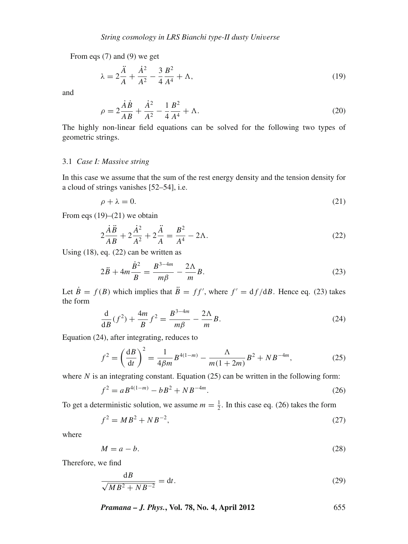From eqs (7) and (9) we get

$$
\lambda = 2\frac{\ddot{A}}{A} + \frac{\dot{A}^2}{A^2} - \frac{3}{4}\frac{B^2}{A^4} + \Lambda,\tag{19}
$$

and

$$
\rho = 2\frac{\dot{A}\dot{B}}{AB} + \frac{\dot{A}^2}{A^2} - \frac{1}{4}\frac{B^2}{A^4} + \Lambda.
$$
\n(20)

The highly non-linear field equations can be solved for the following two types of geometric strings.

# 3.1 *Case I: Massi*v*e string*

In this case we assume that the sum of the rest energy density and the tension density for a cloud of strings vanishes [52–54], i.e.

$$
\rho + \lambda = 0. \tag{21}
$$

From eqs  $(19)$ – $(21)$  we obtain

$$
2\frac{\dot{A}\ddot{B}}{AB} + 2\frac{\dot{A}^2}{A^2} + 2\frac{\ddot{A}}{A} = \frac{B^2}{A^4} - 2\Lambda.
$$
 (22)

Using (18), eq. (22) can be written as

$$
2\ddot{B} + 4m\frac{\dot{B}^2}{B} = \frac{B^{3-4m}}{m\beta} - \frac{2\Lambda}{m}B.
$$
 (23)

Let  $\dot{B} = f(B)$  which implies that  $\ddot{B} = ff'$ , where  $f' = df/dB$ . Hence eq. (23) takes the form

$$
\frac{d}{dB}(f^2) + \frac{4m}{B}f^2 = \frac{B^{3-4m}}{m\beta} - \frac{2\Lambda}{m}B.
$$
 (24)

Equation (24), after integrating, reduces to

d*B*

$$
f^{2} = \left(\frac{dB}{dt}\right)^{2} = \frac{1}{4\beta m}B^{4(1-m)} - \frac{\Lambda}{m(1+2m)}B^{2} + NB^{-4m},
$$
 (25)

where  $N$  is an integrating constant. Equation (25) can be written in the following form:

$$
f^2 = aB^{4(1-m)} - bB^2 + NB^{-4m}.
$$
\n(26)

To get a deterministic solution, we assume  $m = \frac{1}{2}$ . In this case eq. (26) takes the form

$$
f^2 = MB^2 + NB^{-2},\tag{27}
$$

where

$$
M = a - b.\tag{28}
$$

Therefore, we find

$$
\frac{\mathrm{d}B}{\sqrt{MB^2 + NB^{-2}}} = \mathrm{d}t. \tag{29}
$$

*Pramana – J. Phys.***, Vol. 78, No. 4, April 2012** 655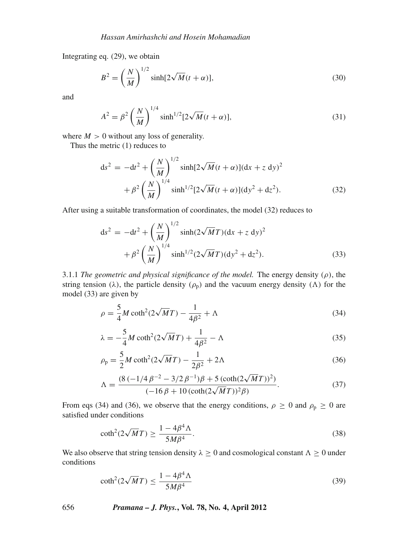Integrating eq. (29), we obtain

$$
B^2 = \left(\frac{N}{M}\right)^{1/2} \sinh[2\sqrt{M}(t+\alpha)],\tag{30}
$$

and

$$
A^{2} = \beta^{2} \left(\frac{N}{M}\right)^{1/4} \sinh^{1/2} [2\sqrt{M}(t+\alpha)],
$$
\n(31)

where  $M > 0$  without any loss of generality.

Thus the metric (1) reduces to

$$
ds^{2} = -dt^{2} + \left(\frac{N}{M}\right)^{1/2} \sinh[2\sqrt{M}(t+\alpha)](dx + z dy)^{2}
$$

$$
+ \beta^{2} \left(\frac{N}{M}\right)^{1/4} \sinh^{1/2}[2\sqrt{M}(t+\alpha)](dy^{2} + dz^{2}). \tag{32}
$$

After using a suitable transformation of coordinates, the model (32) reduces to

$$
ds^{2} = -dt^{2} + \left(\frac{N}{M}\right)^{1/2} \sinh(2\sqrt{M}T)(dx + z dy)^{2}
$$

$$
+ \beta^{2} \left(\frac{N}{M}\right)^{1/4} \sinh^{1/2}(2\sqrt{M}T)(dy^{2} + dz^{2}).
$$
(33)

3.1.1 *The geometric and physical significance of the model*. The energy density  $(\rho)$ , the string tension ( $\lambda$ ), the particle density ( $\rho$ <sub>p</sub>) and the vacuum energy density ( $\Lambda$ ) for the model (33) are given by

$$
\rho = \frac{5}{4}M\coth^2(2\sqrt{M}T) - \frac{1}{4\beta^2} + \Lambda\tag{34}
$$

$$
\lambda = -\frac{5}{4}M\coth^2(2\sqrt{M}T) + \frac{1}{4\beta^2} - \Lambda\tag{35}
$$

$$
\rho_{\rm p} = \frac{5}{2}M\coth^2(2\sqrt{M}T) - \frac{1}{2\beta^2} + 2\Lambda\tag{36}
$$

$$
\Lambda = \frac{(8(-1/4\beta^{-2} - 3/2\beta^{-1})\beta + 5(\coth(2\sqrt{M}T))^2)}{(-16\beta + 10(\coth(2\sqrt{M}T))^2\beta)}.
$$
\n(37)

From eqs (34) and (36), we observe that the energy conditions,  $\rho \ge 0$  and  $\rho_p \ge 0$  are satisfied under conditions

$$
\coth^2(2\sqrt{M}T) \ge \frac{1 - 4\beta^4 \Lambda}{5M\beta^4}.
$$
\n(38)

We also observe that string tension density  $\lambda \geq 0$  and cosmological constant  $\Lambda \geq 0$  under conditions

$$
\coth^2(2\sqrt{M}T) \le \frac{1 - 4\beta^4 \Lambda}{5M\beta^4} \tag{39}
$$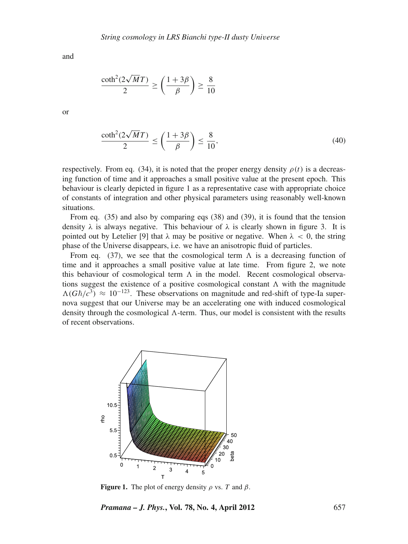and

$$
\frac{\coth^2(2\sqrt{M}T)}{2} \ge \left(\frac{1+3\beta}{\beta}\right) \ge \frac{8}{10}
$$

or

$$
\frac{\coth^2(2\sqrt{M}T)}{2} \le \left(\frac{1+3\beta}{\beta}\right) \le \frac{8}{10},\tag{40}
$$

respectively. From eq. (34), it is noted that the proper energy density  $\rho(t)$  is a decreasing function of time and it approaches a small positive value at the present epoch. This behaviour is clearly depicted in figure 1 as a representative case with appropriate choice of constants of integration and other physical parameters using reasonably well-known situations.

From eq. (35) and also by comparing eqs (38) and (39), it is found that the tension density  $\lambda$  is always negative. This behaviour of  $\lambda$  is clearly shown in figure 3. It is pointed out by Letelier [9] that  $\lambda$  may be positive or negative. When  $\lambda < 0$ , the string phase of the Universe disappears, i.e. we have an anisotropic fluid of particles.

From eq. (37), we see that the cosmological term  $\Lambda$  is a decreasing function of time and it approaches a small positive value at late time. From figure 2, we note this behaviour of cosmological term  $\Lambda$  in the model. Recent cosmological observations suggest the existence of a positive cosmological constant  $\Lambda$  with the magnitude  $\Lambda(G\hbar/c^3) \approx 10^{-123}$ . These observations on magnitude and red-shift of type-Ia supernova suggest that our Universe may be an accelerating one with induced cosmological density through the cosmological  $\Lambda$ -term. Thus, our model is consistent with the results of recent observations.



**Figure 1.** The plot of energy density  $\rho$  vs. *T* and  $\beta$ .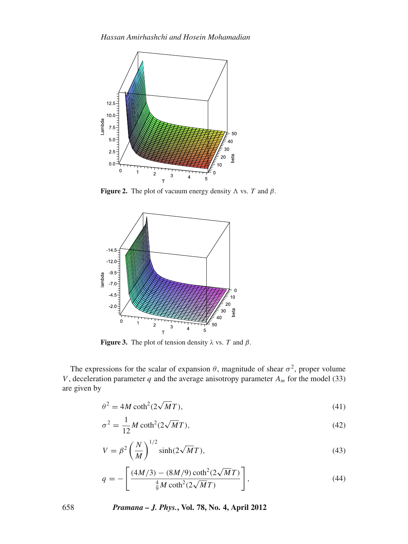

**Figure 2.** The plot of vacuum energy density  $\Lambda$  vs. *T* and  $\beta$ .



**Figure 3.** The plot of tension density  $\lambda$  vs. *T* and  $\beta$ .

The expressions for the scalar of expansion  $\theta$ , magnitude of shear  $\sigma^2$ , proper volume *V*, deceleration parameter *q* and the average anisotropy parameter  $A_m$  for the model (33) are given by

$$
\theta^2 = 4M \coth^2(2\sqrt{M}T),\tag{41}
$$

$$
\sigma^2 = \frac{1}{12} M \coth^2(2\sqrt{M}T),\tag{42}
$$

$$
V = \beta^2 \left(\frac{N}{M}\right)^{1/2} \sinh(2\sqrt{M}T),\tag{43}
$$

$$
q = -\left[\frac{(4M/3) - (8M/9)\coth^2(2\sqrt{M}T)}{\frac{4}{9}M\coth^2(2\sqrt{M}T)}\right],
$$
\n(44)

658 *Pramana – J. Phys.***, Vol. 78, No. 4, April 2012**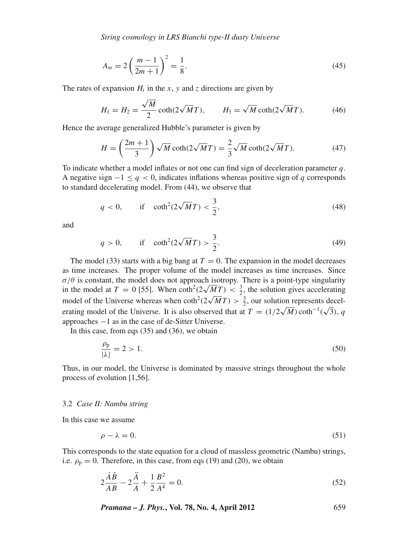*String cosmology in LRS Bianchi type-II dusty Uni*v*erse*

$$
A_m = 2\left(\frac{m-1}{2m+1}\right)^2 = \frac{1}{8}.\tag{45}
$$

The rates of expansion  $H_i$  in the *x*, *y* and *z* directions are given by

$$
H_1 = H_2 = \frac{\sqrt{M}}{2} \coth(2\sqrt{M}T), \qquad H_3 = \sqrt{M} \coth(2\sqrt{M}T). \tag{46}
$$

Hence the average generalized Hubble's parameter is given by

$$
H = \left(\frac{2m+1}{3}\right)\sqrt{M}\coth(2\sqrt{M}T) = \frac{2}{3}\sqrt{M}\coth(2\sqrt{M}T). \tag{47}
$$

To indicate whether a model inflates or not one can find sign of deceleration parameter *q*. A negative sign  $-1 \leq q < 0$ , indicates inflations whereas positive sign of *q* corresponds to standard decelerating model. From (44), we observe that

$$
q < 0, \qquad \text{if} \quad \coth^2(2\sqrt{M}T) < \frac{3}{2}, \tag{48}
$$

and

$$
q > 0
$$
, if  $\coth^2(2\sqrt{M}T) > \frac{3}{2}$ . (49)

The model (33) starts with a big bang at  $T = 0$ . The expansion in the model decreases as time increases. The proper volume of the model increases as time increases. Since  $\sigma/\theta$  is constant, the model does not approach isotropy. There is a point-type singularity  $\sigma/\sigma$  is constant, the model does not approach isotropy. There is a point-type singularity in the model at  $T = 0$  [55]. When  $\coth^2(2\sqrt{MT}) < \frac{3}{2}$ , the solution gives accelerating m die model of the Universe whereas when  $\coth^2(2\sqrt{MT}) > \frac{3}{2}$ , our solution represents decel-<br>model of the Universe whereas when  $\coth^2(2\sqrt{MT}) > \frac{3}{2}$ , our solution represents decelerating model of the Universe. It is also observed that at  $T = (1/2\sqrt{M}) \coth^{-1}(\sqrt{3}), q$ approaches −1 as in the case of de-Sitter Universe.

In this case, from eqs (35) and (36), we obtain

$$
\frac{\rho_{\rm p}}{|\lambda|} = 2 > 1. \tag{50}
$$

Thus, in our model, the Universe is dominated by massive strings throughout the whole process of evolution [1,56].

#### 3.2 *Case II: Nambu string*

*A*˙ *B*˙

*A*¨

In this case we assume

$$
\rho - \lambda = 0. \tag{51}
$$

This corresponds to the state equation for a cloud of massless geometric (Nambu) strings, i.e.  $\rho_p = 0$ . Therefore, in this case, from eqs (19) and (20), we obtain

$$
2\frac{\dot{A}\dot{B}}{AB} - 2\frac{\ddot{A}}{A} + \frac{1}{2}\frac{B^2}{A^4} = 0.
$$
 (52)

*Pramana – J. Phys.***, Vol. 78, No. 4, April 2012** 659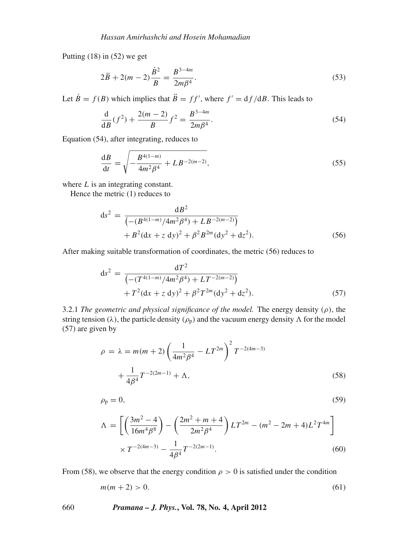Putting (18) in (52) we get

$$
2\ddot{B} + 2(m-2)\frac{\dot{B}^2}{B} = \frac{B^{3-4m}}{2m\beta^4}.
$$
\n(53)

Let  $\dot{B} = f(B)$  which implies that  $\ddot{B} = ff'$ , where  $f' = df/dB$ . This leads to

$$
\frac{\mathrm{d}}{\mathrm{d}B}(f^2) + \frac{2(m-2)}{B}f^2 = \frac{B^{3-4m}}{2m\beta^4}.\tag{54}
$$

Equation (54), after integrating, reduces to

$$
\frac{\mathrm{d}B}{\mathrm{d}t} = \sqrt{-\frac{B^{4(1-m)}}{4m^2\beta^4} + LB^{-2(m-2)}},\tag{55}
$$

where *L* is an integrating constant.

Hence the metric (1) reduces to

$$
ds^{2} = \frac{dB^{2}}{(-\left(B^{4(1-m)}/4m^{2}\beta^{4}\right) + LB^{-2(m-2)})} + B^{2}(dx + z dy)^{2} + \beta^{2}B^{2m}(dy^{2} + dz^{2}).
$$
\n(56)

After making suitable transformation of coordinates, the metric (56) reduces to

$$
ds^{2} = \frac{dT^{2}}{(-\left(T^{4(1-m)}/4m^{2}\beta^{4}\right) + LT^{-2(m-2)})} + T^{2}(dx + z dy)^{2} + \beta^{2}T^{2m}(dy^{2} + dz^{2}).
$$
\n(57)

3.2.1 *The geometric and physical significance of the model.* The energy density  $(\rho)$ , the string tension ( $\lambda$ ), the particle density ( $\rho$ <sub>p</sub>) and the vacuum energy density  $\Lambda$  for the model (57) are given by

$$
\rho = \lambda = m(m+2) \left(\frac{1}{4m^2 \beta^4} - LT^{2m}\right)^2 T^{-2(4m-3)} + \frac{1}{4\beta^4} T^{-2(2m-1)} + \Lambda,
$$
\n(58)

$$
\rho_p = 0,\tag{59}
$$

$$
\Lambda = \left[ \left( \frac{3m^2 - 4}{16m^4 \beta^8} \right) - \left( \frac{2m^2 + m + 4}{2m^2 \beta^4} \right) LT^{2m} - (m^2 - 2m + 4)L^2 T^{4m} \right] \times T^{-2(4m - 3)} - \frac{1}{4\beta^4} T^{-2(2m - 1)}.
$$
\n(60)

From (58), we observe that the energy condition  $\rho > 0$  is satisfied under the condition

$$
m(m+2) > 0. \tag{61}
$$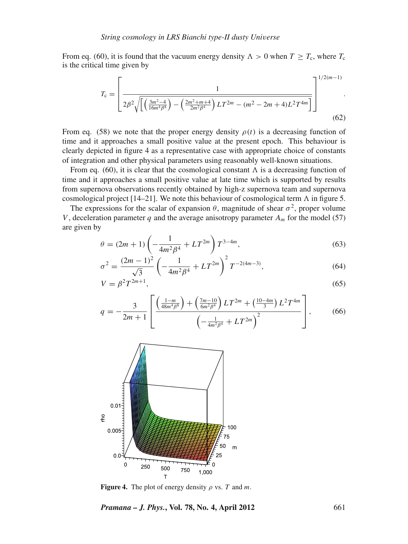From eq. (60), it is found that the vacuum energy density  $\Lambda > 0$  when  $T \geq T_c$ , where  $T_c$ is the critical time given by

$$
T_{\rm c} = \left[ \frac{1}{2\beta^2 \sqrt{\left[ \left( \frac{3m^2 - 4}{16m^4 \beta^8} \right) - \left( \frac{2m^2 + m + 4}{2m^2 \beta^4} \right) LT^{2m} - (m^2 - 2m + 4)L^2 T^{4m} \right]}} \right]^{1/2(m-1)}.
$$
\n(62)

From eq. (58) we note that the proper energy density  $\rho(t)$  is a decreasing function of time and it approaches a small positive value at the present epoch. This behaviour is clearly depicted in figure 4 as a representative case with appropriate choice of constants of integration and other physical parameters using reasonably well-known situations.

From eq. (60), it is clear that the cosmological constant  $\Lambda$  is a decreasing function of time and it approaches a small positive value at late time which is supported by results from supernova observations recently obtained by high-z supernova team and supernova cosmological project [14–21]. We note this behaviour of cosmological term  $\Lambda$  in figure 5.

The expressions for the scalar of expansion  $\theta$ , magnitude of shear  $\sigma^2$ , proper volume *V*, deceleration parameter *q* and the average anisotropy parameter  $A_m$  for the model (57) are given by

$$
\theta = (2m+1)\left(-\frac{1}{4m^2\beta^4} + LT^{2m}\right)T^{3-4m},\tag{63}
$$

$$
\sigma^2 = \frac{(2m-1)^2}{\sqrt{3}} \left( -\frac{1}{4m^2 \beta^4} + LT^{2m} \right)^2 T^{-2(4m-3)},\tag{64}
$$

$$
V = \beta^2 T^{2m+1},\tag{65}
$$

$$
q = -\frac{3}{2m+1} \left[ \frac{\left(\frac{1-m}{48m^4\beta^8}\right) + \left(\frac{7m-10}{6m^2\beta^4}\right)LT^{2m} + \left(\frac{10-4m}{3}\right)L^2T^{4m}}{\left(-\frac{1}{4m^2\beta^4} + LT^{2m}\right)^2} \right],\tag{66}
$$



**Figure 4.** The plot of energy density  $\rho$  vs. *T* and *m*.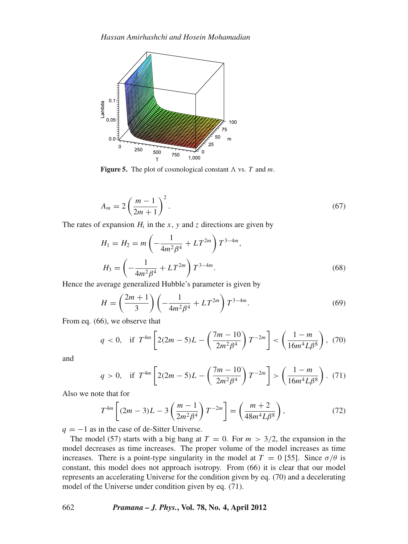

**Figure 5.** The plot of cosmological constant  $\Lambda$  vs. *T* and *m*.

$$
A_m = 2\left(\frac{m-1}{2m+1}\right)^2.
$$
\n<sup>(67)</sup>

The rates of expansion  $H_i$  in the *x*, *y* and *z* directions are given by

$$
H_1 = H_2 = m \left( -\frac{1}{4m^2 \beta^4} + LT^{2m} \right) T^{3-4m},
$$
  

$$
H_3 = \left( -\frac{1}{4m^2 \beta^4} + LT^{2m} \right) T^{3-4m}.
$$
 (68)

Hence the average generalized Hubble's parameter is given by

$$
H = \left(\frac{2m+1}{3}\right) \left(-\frac{1}{4m^2\beta^4} + LT^{2m}\right) T^{3-4m}.
$$
 (69)

From eq. (66), we observe that

$$
q < 0, \quad \text{if } \ T^{4m} \left[ 2(2m - 5)L - \left( \frac{7m - 10}{2m^2 \beta^4} \right) T^{-2m} \right] < \left( \frac{1 - m}{16m^4 L \beta^8} \right), \tag{70}
$$

and

$$
q > 0, \quad \text{if } \ T^{4m} \left[ 2(2m - 5)L - \left( \frac{7m - 10}{2m^2 \beta^4} \right) T^{-2m} \right] > \left( \frac{1 - m}{16m^4 L \beta^8} \right). \tag{71}
$$

Also we note that for

$$
T^{4m} \left[ (2m - 3)L - 3 \left( \frac{m - 1}{2m^2 \beta^4} \right) T^{-2m} \right] = \left( \frac{m + 2}{48m^4 L \beta^8} \right),\tag{72}
$$

 $q = -1$  as in the case of de-Sitter Universe.

The model (57) starts with a big bang at  $T = 0$ . For  $m > 3/2$ , the expansion in the model decreases as time increases. The proper volume of the model increases as time increases. There is a point-type singularity in the model at  $T = 0$  [55]. Since  $\sigma/\theta$  is constant, this model does not approach isotropy. From (66) it is clear that our model represents an accelerating Universe for the condition given by eq. (70) and a decelerating model of the Universe under condition given by eq. (71).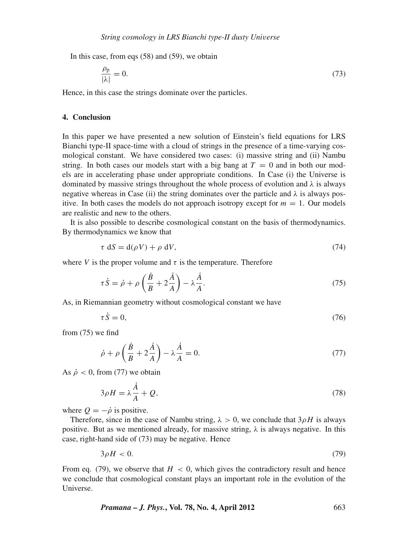In this case, from eqs  $(58)$  and  $(59)$ , we obtain

$$
\frac{\rho_{\rm p}}{|\lambda|} = 0. \tag{73}
$$

Hence, in this case the strings dominate over the particles.

# **4. Conclusion**

In this paper we have presented a new solution of Einstein's field equations for LRS Bianchi type-II space-time with a cloud of strings in the presence of a time-varying cosmological constant. We have considered two cases: (i) massive string and (ii) Nambu string. In both cases our models start with a big bang at  $T = 0$  and in both our models are in accelerating phase under appropriate conditions. In Case (i) the Universe is dominated by massive strings throughout the whole process of evolution and  $\lambda$  is always negative whereas in Case (ii) the string dominates over the particle and  $\lambda$  is always positive. In both cases the models do not approach isotropy except for  $m = 1$ . Our models are realistic and new to the others.

It is also possible to describe cosmological constant on the basis of thermodynamics. By thermodynamics we know that

$$
\tau \, \mathrm{d}S = \mathrm{d}(\rho V) + \rho \, \mathrm{d}V,\tag{74}
$$

where *V* is the proper volume and  $\tau$  is the temperature. Therefore

$$
\tau \dot{S} = \dot{\rho} + \rho \left( \frac{\dot{B}}{B} + 2\frac{\dot{A}}{A} \right) - \lambda \frac{\dot{A}}{A}.
$$
\n(75)

As, in Riemannian geometry without cosmological constant we have

$$
\tau \dot{S} = 0,\tag{76}
$$

from (75) we find

$$
\dot{\rho} + \rho \left(\frac{\dot{B}}{B} + 2\frac{\dot{A}}{A}\right) - \lambda \frac{\dot{A}}{A} = 0. \tag{77}
$$

As  $\dot{\rho}$  < 0, from (77) we obtain

$$
3\rho H = \lambda \frac{\dot{A}}{A} + Q,\tag{78}
$$

where  $Q = -\dot{\rho}$  is positive.

Therefore, since in the case of Nambu string,  $\lambda > 0$ , we conclude that  $3\rho H$  is always positive. But as we mentioned already, for massive string,  $\lambda$  is always negative. In this case, right-hand side of (73) may be negative. Hence

$$
3\rho H < 0.\tag{79}
$$

From eq. (79), we observe that  $H < 0$ , which gives the contradictory result and hence we conclude that cosmological constant plays an important role in the evolution of the Universe.

*Pramana – J. Phys.***, Vol. 78, No. 4, April 2012** 663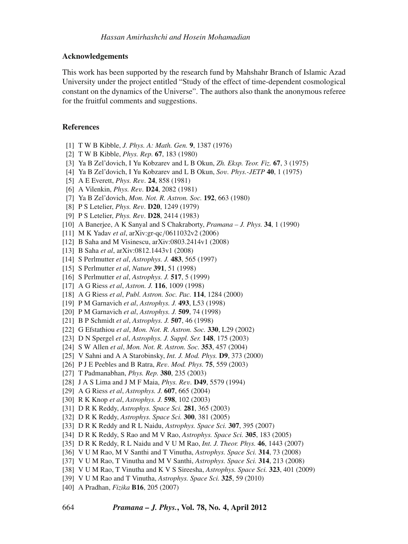### **Acknowledgements**

This work has been supported by the research fund by Mahshahr Branch of Islamic Azad University under the project entitled "Study of the effect of time-dependent cosmological constant on the dynamics of the Universe". The authors also thank the anonymous referee for the fruitful comments and suggestions.

#### **References**

- [1] T W B Kibble, *J. Phys. A: Math. Gen.* **9**, 1387 (1976)
- [2] T W B Kibble, *Phys. Rep.* **67**, 183 (1980)
- [3] Ya B Zel'dovich, I Yu Kobzarev and L B Okun, *Zh. Eksp. Teor. Fiz.* **67**, 3 (1975)
- [4] Ya B Zel'dovich, I Yu Kobzarev and L B Okun, *So*v*. Phys.-JETP* **40**, 1 (1975)
- [5] A E Everett, *Phys. Re*v*.* **24**, 858 (1981)
- [6] A Vilenkin, *Phys. Re*v*.* **D24**, 2082 (1981)
- [7] Ya B Zel'dovich, *Mon. Not. R. Astron. Soc.* **192**, 663 (1980)
- [8] P S Letelier, *Phys. Re*v*.* **D20**, 1249 (1979)
- [9] P S Letelier, *Phys. Re*v*.* **D28**, 2414 (1983)
- [10] A Banerjee, A K Sanyal and S Chakraborty, *Pramana J. Phys.* **34**, 1 (1990)
- [11] M K Yadav *et al*, arXiv:gr-qc/0611032v2 (2006)
- [12] B Saha and M Visinescu, arXiv:0803.2414v1 (2008)
- [13] B Saha *et al*, arXiv:0812.1443v1 (2008)
- [14] S Perlmutter *et al*, *Astrophys. J.* **483**, 565 (1997)
- [15] S Perlmutter *et al*, *Nature* **391**, 51 (1998)
- [16] S Perlmutter *et al*, *Astrophys. J.* **517**, 5 (1999)
- [17] A G Riess *et al*, *Astron. J.* **116**, 1009 (1998)
- [18] A G Riess *et al*, *Publ. Astron. Soc. Pac.* **114**, 1284 (2000)
- [19] P M Garnavich *et al*, *Astrophys. J.* **493**, L53 (1998)
- [20] P M Garnavich *et al*, *Astrophys. J.* **509**, 74 (1998)
- [21] B P Schmidt *et al*, *Astrophys. J.* **507**, 46 (1998)
- [22] G Efstathiou *et al*, *Mon. Not. R. Astron. Soc.* **330**, L29 (2002)
- [23] D N Spergel *et al*, *Astrophys. J. Suppl. Ser.* **148**, 175 (2003)
- [24] S W Allen *et al*, *Mon. Not. R. Astron. Soc.* **353**, 457 (2004)
- [25] V Sahni and A A Starobinsky, *Int. J. Mod. Phys.* **D9**, 373 (2000)
- [26] P J E Peebles and B Ratra, *Re*v*. Mod. Phys.* **75**, 559 (2003)
- [27] T Padmanabhan, *Phys. Rep.* **380**, 235 (2003)
- [28] J A S Lima and J M F Maia, *Phys. Re*v*.* **D49**, 5579 (1994)
- [29] A G Riess *et al*, *Astrophys. J.* **607**, 665 (2004)
- [30] R K Knop *et al*, *Astrophys. J.* **598**, 102 (2003)
- [31] D R K Reddy, *Astrophys. Space Sci.* **281**, 365 (2003)
- [32] D R K Reddy, *Astrophys. Space Sci.* **300**, 381 (2005)
- [33] D R K Reddy and R L Naidu, *Astrophys. Space Sci.* **307**, 395 (2007)
- [34] D R K Reddy, S Rao and M V Rao, *Astrophys. Space Sci.* **305**, 183 (2005)
- [35] D R K Reddy, R L Naidu and V U M Rao, *Int. J. Theor. Phys.* **46**, 1443 (2007)
- [36] V U M Rao, M V Santhi and T Vinutha, *Astrophys. Space Sci.* **314**, 73 (2008)
- [37] V U M Rao, T Vinutha and M V Santhi, *Astrophys. Space Sci.* **314**, 213 (2008)
- [38] V U M Rao, T Vinutha and K V S Sireesha, *Astrophys. Space Sci.* **323**, 401 (2009)
- [39] V U M Rao and T Vinutha, *Astrophys. Space Sci.* **325**, 59 (2010)
- [40] A Pradhan, *Fizika* **B16**, 205 (2007)